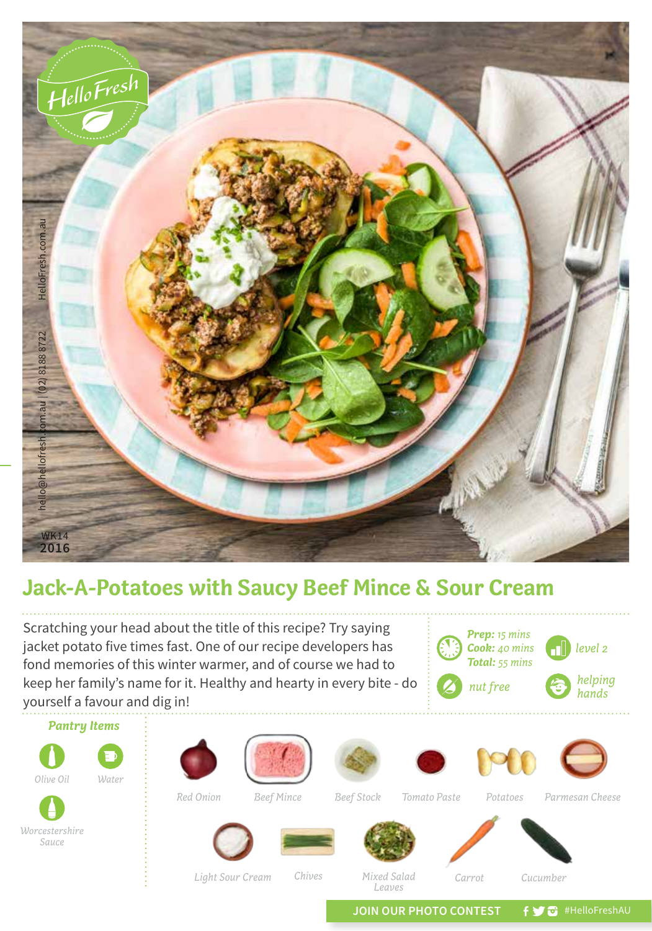

## **Jack-A-Potatoes with Saucy Beef Mince & Sour Cream**

Scratching your head about the title of this recipe? Try saying jacket potato five times fast. One of our recipe developers has fond memories of this winter warmer, and of course we had to keep her family's name for it. Healthy and hearty in every bite - do yourself a favour and dig in!





*Red Onion Beef Mince*

*Tomato Paste*

*Beef Stock Parmesan Cheese Potatoes*



*Olive Oil*

*Pantry Items*

*Water*









*Light Sour Cream*

*Mixed Salad Leaves Chives Carrot Cucumber*

JOIN OUR PHOTO CONTEST **f y**  $\bullet$  #HelloFreshAU